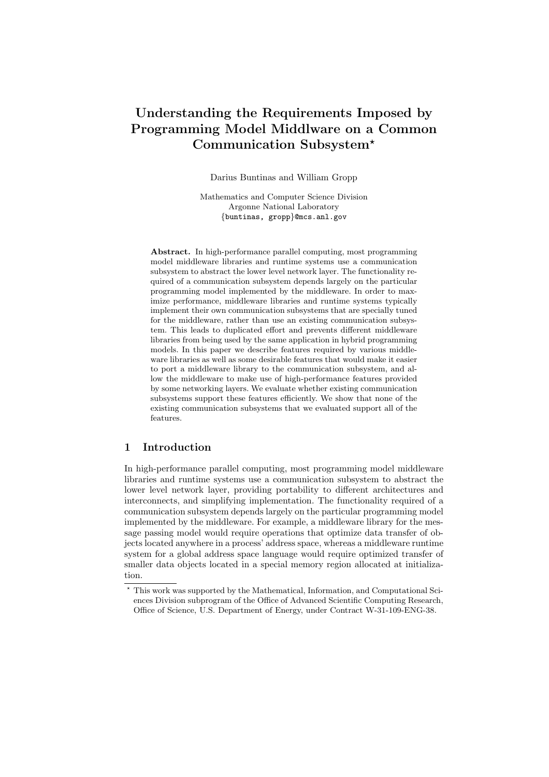# Understanding the Requirements Imposed by Programming Model Middlware on a Common Communication Subsystem?

Darius Buntinas and William Gropp

Mathematics and Computer Science Division Argonne National Laboratory {buntinas, gropp}@mcs.anl.gov

Abstract. In high-performance parallel computing, most programming model middleware libraries and runtime systems use a communication subsystem to abstract the lower level network layer. The functionality required of a communication subsystem depends largely on the particular programming model implemented by the middleware. In order to maximize performance, middleware libraries and runtime systems typically implement their own communication subsystems that are specially tuned for the middleware, rather than use an existing communication subsystem. This leads to duplicated effort and prevents different middleware libraries from being used by the same application in hybrid programming models. In this paper we describe features required by various middleware libraries as well as some desirable features that would make it easier to port a middleware library to the communication subsystem, and allow the middleware to make use of high-performance features provided by some networking layers. We evaluate whether existing communication subsystems support these features efficiently. We show that none of the existing communication subsystems that we evaluated support all of the features.

# 1 Introduction

In high-performance parallel computing, most programming model middleware libraries and runtime systems use a communication subsystem to abstract the lower level network layer, providing portability to different architectures and interconnects, and simplifying implementation. The functionality required of a communication subsystem depends largely on the particular programming model implemented by the middleware. For example, a middleware library for the message passing model would require operations that optimize data transfer of objects located anywhere in a process' address space, whereas a middleware runtime system for a global address space language would require optimized transfer of smaller data objects located in a special memory region allocated at initialization.

<sup>?</sup> This work was supported by the Mathematical, Information, and Computational Sciences Division subprogram of the Office of Advanced Scientific Computing Research, Office of Science, U.S. Department of Energy, under Contract W-31-109-ENG-38.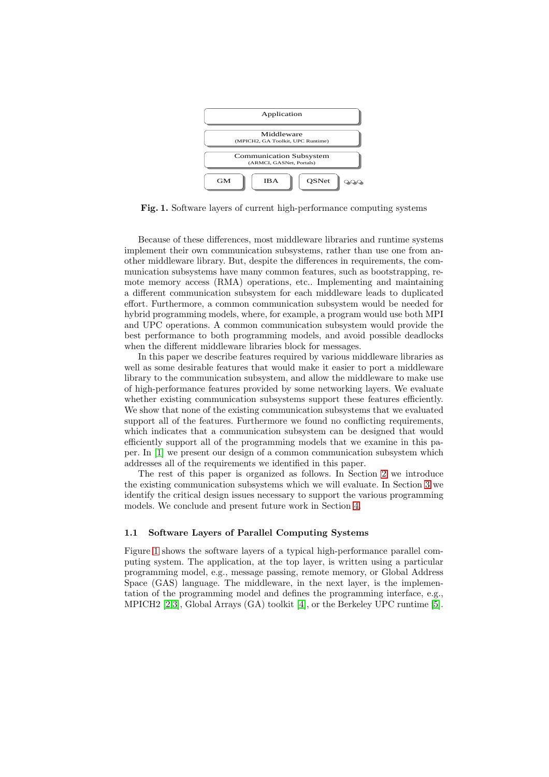

Fig. 1. Software layers of current high-performance computing systems

Because of these differences, most middleware libraries and runtime systems implement their own communication subsystems, rather than use one from another middleware library. But, despite the differences in requirements, the communication subsystems have many common features, such as bootstrapping, remote memory access (RMA) operations, etc.. Implementing and maintaining a different communication subsystem for each middleware leads to duplicated effort. Furthermore, a common communication subsystem would be needed for hybrid programming models, where, for example, a program would use both MPI and UPC operations. A common communication subsystem would provide the best performance to both programming models, and avoid possible deadlocks when the different middleware libraries block for messages.

In this paper we describe features required by various middleware libraries as well as some desirable features that would make it easier to port a middleware library to the communication subsystem, and allow the middleware to make use of high-performance features provided by some networking layers. We evaluate whether existing communication subsystems support these features efficiently. We show that none of the existing communication subsystems that we evaluated support all of the features. Furthermore we found no conflicting requirements, which indicates that a communication subsystem can be designed that would efficiently support all of the programming models that we examine in this paper. In [\[1\]](#page-8-0) we present our design of a common communication subsystem which addresses all of the requirements we identified in this paper.

The rest of this paper is organized as follows. In Section [2](#page-2-0) we introduce the existing communication subsystems which we will evaluate. In Section [3](#page-2-0) we identify the critical design issues necessary to support the various programming models. We conclude and present future work in Section [4.](#page-7-0)

## 1.1 Software Layers of Parallel Computing Systems

Figure 1 shows the software layers of a typical high-performance parallel computing system. The application, at the top layer, is written using a particular programming model, e.g., message passing, remote memory, or Global Address Space (GAS) language. The middleware, in the next layer, is the implementation of the programming model and defines the programming interface, e.g., MPICH2 [\[2,3\]](#page-8-0), Global Arrays (GA) toolkit [\[4\]](#page-8-0), or the Berkeley UPC runtime [\[5\]](#page-8-0).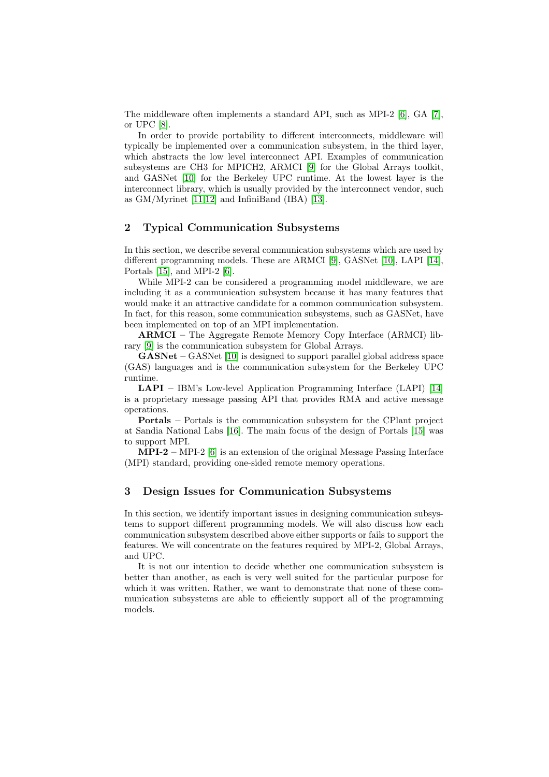<span id="page-2-0"></span>The middleware often implements a standard API, such as MPI-2 [\[6\]](#page-8-0), GA [\[7\]](#page-8-0), or UPC [\[8\]](#page-8-0).

In order to provide portability to different interconnects, middleware will typically be implemented over a communication subsystem, in the third layer, which abstracts the low level interconnect API. Examples of communication subsystems are CH3 for MPICH2, ARMCI [\[9\]](#page-8-0) for the Global Arrays toolkit, and GASNet [\[10\]](#page-8-0) for the Berkeley UPC runtime. At the lowest layer is the interconnect library, which is usually provided by the interconnect vendor, such as GM/Myrinet [\[11,](#page-8-0)[12\]](#page-9-0) and InfiniBand (IBA) [\[13\]](#page-9-0).

## 2 Typical Communication Subsystems

In this section, we describe several communication subsystems which are used by different programming models. These are ARMCI [\[9\]](#page-8-0), GASNet [\[10\]](#page-8-0), LAPI [\[14\]](#page-9-0), Portals [\[15\]](#page-9-0), and MPI-2 [\[6\]](#page-8-0).

While MPI-2 can be considered a programming model middleware, we are including it as a communication subsystem because it has many features that would make it an attractive candidate for a common communication subsystem. In fact, for this reason, some communication subsystems, such as GASNet, have been implemented on top of an MPI implementation.

ARMCI – The Aggregate Remote Memory Copy Interface (ARMCI) library [\[9\]](#page-8-0) is the communication subsystem for Global Arrays.

GASNet – GASNet [\[10\]](#page-8-0) is designed to support parallel global address space (GAS) languages and is the communication subsystem for the Berkeley UPC runtime.

LAPI – IBM's Low-level Application Programming Interface (LAPI) [\[14\]](#page-9-0) is a proprietary message passing API that provides RMA and active message operations.

Portals – Portals is the communication subsystem for the CPlant project at Sandia National Labs [\[16\]](#page-9-0). The main focus of the design of Portals [\[15\]](#page-9-0) was to support MPI.

 $MPI-2 - MPI-2$  [\[6\]](#page-8-0) is an extension of the original Message Passing Interface (MPI) standard, providing one-sided remote memory operations.

# 3 Design Issues for Communication Subsystems

In this section, we identify important issues in designing communication subsystems to support different programming models. We will also discuss how each communication subsystem described above either supports or fails to support the features. We will concentrate on the features required by MPI-2, Global Arrays, and UPC.

It is not our intention to decide whether one communication subsystem is better than another, as each is very well suited for the particular purpose for which it was written. Rather, we want to demonstrate that none of these communication subsystems are able to efficiently support all of the programming models.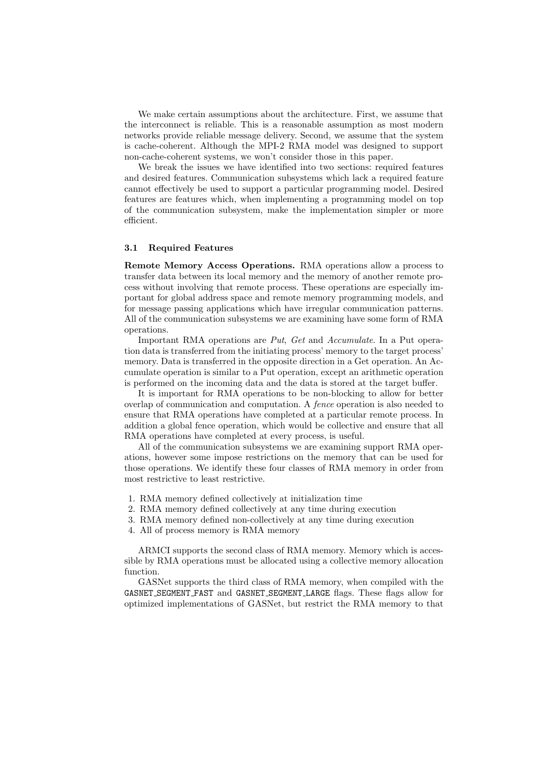We make certain assumptions about the architecture. First, we assume that the interconnect is reliable. This is a reasonable assumption as most modern networks provide reliable message delivery. Second, we assume that the system is cache-coherent. Although the MPI-2 RMA model was designed to support non-cache-coherent systems, we won't consider those in this paper.

We break the issues we have identified into two sections: required features and desired features. Communication subsystems which lack a required feature cannot effectively be used to support a particular programming model. Desired features are features which, when implementing a programming model on top of the communication subsystem, make the implementation simpler or more efficient.

## 3.1 Required Features

Remote Memory Access Operations. RMA operations allow a process to transfer data between its local memory and the memory of another remote process without involving that remote process. These operations are especially important for global address space and remote memory programming models, and for message passing applications which have irregular communication patterns. All of the communication subsystems we are examining have some form of RMA operations.

Important RMA operations are Put, Get and Accumulate. In a Put operation data is transferred from the initiating process' memory to the target process' memory. Data is transferred in the opposite direction in a Get operation. An Accumulate operation is similar to a Put operation, except an arithmetic operation is performed on the incoming data and the data is stored at the target buffer.

It is important for RMA operations to be non-blocking to allow for better overlap of communication and computation. A fence operation is also needed to ensure that RMA operations have completed at a particular remote process. In addition a global fence operation, which would be collective and ensure that all RMA operations have completed at every process, is useful.

All of the communication subsystems we are examining support RMA operations, however some impose restrictions on the memory that can be used for those operations. We identify these four classes of RMA memory in order from most restrictive to least restrictive.

- 1. RMA memory defined collectively at initialization time
- 2. RMA memory defined collectively at any time during execution
- 3. RMA memory defined non-collectively at any time during execution
- 4. All of process memory is RMA memory

ARMCI supports the second class of RMA memory. Memory which is accessible by RMA operations must be allocated using a collective memory allocation function.

GASNet supports the third class of RMA memory, when compiled with the GASNET\_SEGMENT\_FAST and GASNET\_SEGMENT\_LARGE flags. These flags allow for optimized implementations of GASNet, but restrict the RMA memory to that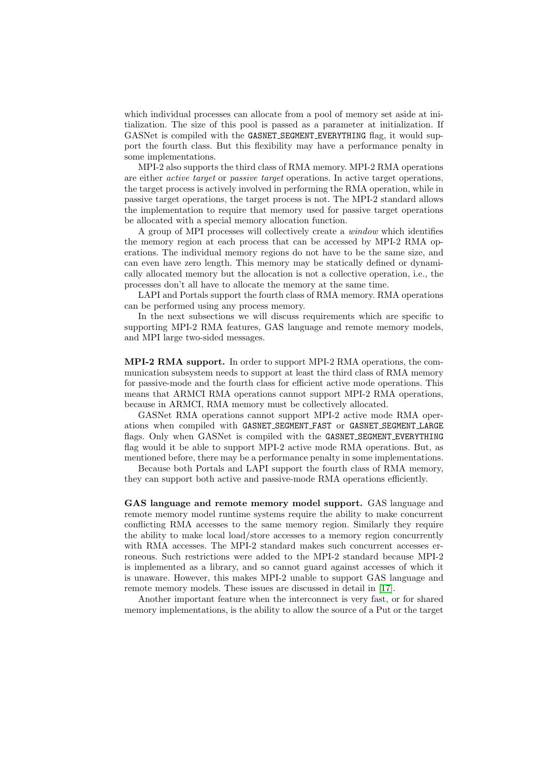which individual processes can allocate from a pool of memory set aside at initialization. The size of this pool is passed as a parameter at initialization. If GASNet is compiled with the GASNET\_SEGMENT\_EVERYTHING flag, it would support the fourth class. But this flexibility may have a performance penalty in some implementations.

MPI-2 also supports the third class of RMA memory. MPI-2 RMA operations are either active target or passive target operations. In active target operations, the target process is actively involved in performing the RMA operation, while in passive target operations, the target process is not. The MPI-2 standard allows the implementation to require that memory used for passive target operations be allocated with a special memory allocation function.

A group of MPI processes will collectively create a window which identifies the memory region at each process that can be accessed by MPI-2 RMA operations. The individual memory regions do not have to be the same size, and can even have zero length. This memory may be statically defined or dynamically allocated memory but the allocation is not a collective operation, i.e., the processes don't all have to allocate the memory at the same time.

LAPI and Portals support the fourth class of RMA memory. RMA operations can be performed using any process memory.

In the next subsections we will discuss requirements which are specific to supporting MPI-2 RMA features, GAS language and remote memory models, and MPI large two-sided messages.

MPI-2 RMA support. In order to support MPI-2 RMA operations, the communication subsystem needs to support at least the third class of RMA memory for passive-mode and the fourth class for efficient active mode operations. This means that ARMCI RMA operations cannot support MPI-2 RMA operations, because in ARMCI, RMA memory must be collectively allocated.

GASNet RMA operations cannot support MPI-2 active mode RMA operations when compiled with GASNET SEGMENT FAST or GASNET SEGMENT LARGE flags. Only when GASNet is compiled with the GASNET\_SEGMENT\_EVERYTHING flag would it be able to support MPI-2 active mode RMA operations. But, as mentioned before, there may be a performance penalty in some implementations.

Because both Portals and LAPI support the fourth class of RMA memory, they can support both active and passive-mode RMA operations efficiently.

GAS language and remote memory model support. GAS language and remote memory model runtime systems require the ability to make concurrent conflicting RMA accesses to the same memory region. Similarly they require the ability to make local load/store accesses to a memory region concurrently with RMA accesses. The MPI-2 standard makes such concurrent accesses erroneous. Such restrictions were added to the MPI-2 standard because MPI-2 is implemented as a library, and so cannot guard against accesses of which it is unaware. However, this makes MPI-2 unable to support GAS language and remote memory models. These issues are discussed in detail in [\[17\]](#page-9-0).

Another important feature when the interconnect is very fast, or for shared memory implementations, is the ability to allow the source of a Put or the target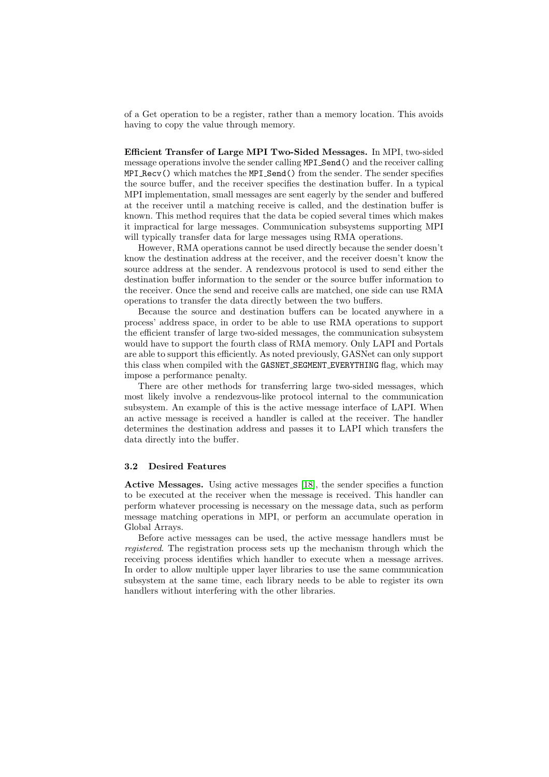of a Get operation to be a register, rather than a memory location. This avoids having to copy the value through memory.

Efficient Transfer of Large MPI Two-Sided Messages. In MPI, two-sided message operations involve the sender calling MPI Send() and the receiver calling MPI Recv() which matches the MPI Send() from the sender. The sender specifies the source buffer, and the receiver specifies the destination buffer. In a typical MPI implementation, small messages are sent eagerly by the sender and buffered at the receiver until a matching receive is called, and the destination buffer is known. This method requires that the data be copied several times which makes it impractical for large messages. Communication subsystems supporting MPI will typically transfer data for large messages using RMA operations.

However, RMA operations cannot be used directly because the sender doesn't know the destination address at the receiver, and the receiver doesn't know the source address at the sender. A rendezvous protocol is used to send either the destination buffer information to the sender or the source buffer information to the receiver. Once the send and receive calls are matched, one side can use RMA operations to transfer the data directly between the two buffers.

Because the source and destination buffers can be located anywhere in a process' address space, in order to be able to use RMA operations to support the efficient transfer of large two-sided messages, the communication subsystem would have to support the fourth class of RMA memory. Only LAPI and Portals are able to support this efficiently. As noted previously, GASNet can only support this class when compiled with the GASNET SEGMENT EVERYTHING flag, which may impose a performance penalty.

There are other methods for transferring large two-sided messages, which most likely involve a rendezvous-like protocol internal to the communication subsystem. An example of this is the active message interface of LAPI. When an active message is received a handler is called at the receiver. The handler determines the destination address and passes it to LAPI which transfers the data directly into the buffer.

#### 3.2 Desired Features

Active Messages. Using active messages [\[18\]](#page-9-0), the sender specifies a function to be executed at the receiver when the message is received. This handler can perform whatever processing is necessary on the message data, such as perform message matching operations in MPI, or perform an accumulate operation in Global Arrays.

Before active messages can be used, the active message handlers must be registered. The registration process sets up the mechanism through which the receiving process identifies which handler to execute when a message arrives. In order to allow multiple upper layer libraries to use the same communication subsystem at the same time, each library needs to be able to register its own handlers without interfering with the other libraries.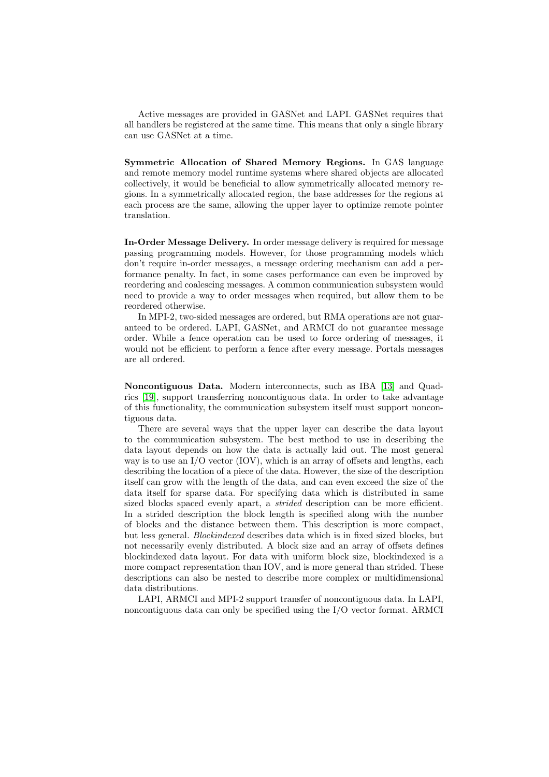Active messages are provided in GASNet and LAPI. GASNet requires that all handlers be registered at the same time. This means that only a single library can use GASNet at a time.

Symmetric Allocation of Shared Memory Regions. In GAS language and remote memory model runtime systems where shared objects are allocated collectively, it would be beneficial to allow symmetrically allocated memory regions. In a symmetrically allocated region, the base addresses for the regions at each process are the same, allowing the upper layer to optimize remote pointer translation.

In-Order Message Delivery. In order message delivery is required for message passing programming models. However, for those programming models which don't require in-order messages, a message ordering mechanism can add a performance penalty. In fact, in some cases performance can even be improved by reordering and coalescing messages. A common communication subsystem would need to provide a way to order messages when required, but allow them to be reordered otherwise.

In MPI-2, two-sided messages are ordered, but RMA operations are not guaranteed to be ordered. LAPI, GASNet, and ARMCI do not guarantee message order. While a fence operation can be used to force ordering of messages, it would not be efficient to perform a fence after every message. Portals messages are all ordered.

Noncontiguous Data. Modern interconnects, such as IBA [\[13\]](#page-9-0) and Quadrics [\[19\]](#page-9-0), support transferring noncontiguous data. In order to take advantage of this functionality, the communication subsystem itself must support noncontiguous data.

There are several ways that the upper layer can describe the data layout to the communication subsystem. The best method to use in describing the data layout depends on how the data is actually laid out. The most general way is to use an I/O vector (IOV), which is an array of offsets and lengths, each describing the location of a piece of the data. However, the size of the description itself can grow with the length of the data, and can even exceed the size of the data itself for sparse data. For specifying data which is distributed in same sized blocks spaced evenly apart, a *strided* description can be more efficient. In a strided description the block length is specified along with the number of blocks and the distance between them. This description is more compact, but less general. Blockindexed describes data which is in fixed sized blocks, but not necessarily evenly distributed. A block size and an array of offsets defines blockindexed data layout. For data with uniform block size, blockindexed is a more compact representation than IOV, and is more general than strided. These descriptions can also be nested to describe more complex or multidimensional data distributions.

LAPI, ARMCI and MPI-2 support transfer of noncontiguous data. In LAPI, noncontiguous data can only be specified using the I/O vector format. ARMCI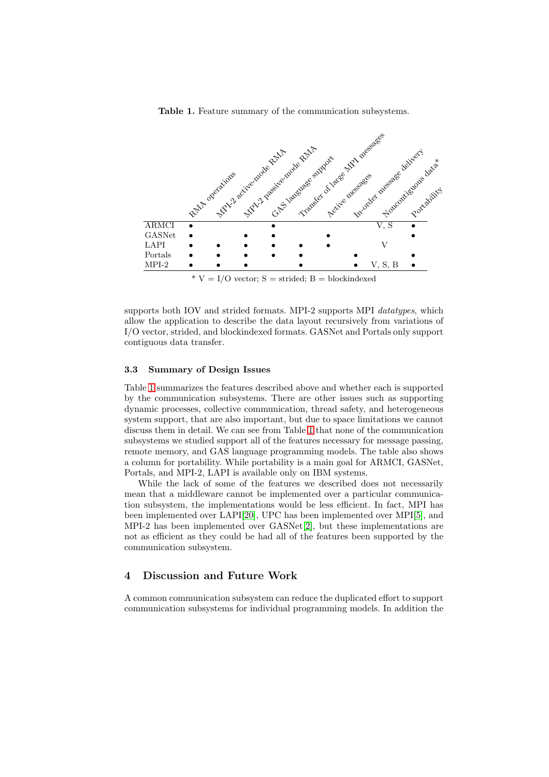Table 1. Feature summary of the communication subsystems.

<span id="page-7-0"></span>

supports both IOV and strided formats. MPI-2 supports MPI *datatypes*, which allow the application to describe the data layout recursively from variations of I/O vector, strided, and blockindexed formats. GASNet and Portals only support contiguous data transfer.

#### 3.3 Summary of Design Issues

Table 1 summarizes the features described above and whether each is supported by the communication subsystems. There are other issues such as supporting dynamic processes, collective communication, thread safety, and heterogeneous system support, that are also important, but due to space limitations we cannot discuss them in detail. We can see from Table 1 that none of the communication subsystems we studied support all of the features necessary for message passing, remote memory, and GAS language programming models. The table also shows a column for portability. While portability is a main goal for ARMCI, GASNet, Portals, and MPI-2, LAPI is available only on IBM systems.

While the lack of some of the features we described does not necessarily mean that a middleware cannot be implemented over a particular communication subsystem, the implementations would be less efficient. In fact, MPI has been implemented over LAPI[\[20\]](#page-9-0), UPC has been implemented over MPI[\[5\]](#page-8-0), and MPI-2 has been implemented over GASNet[\[2\]](#page-8-0), but these implementations are not as efficient as they could be had all of the features been supported by the communication subsystem.

## 4 Discussion and Future Work

A common communication subsystem can reduce the duplicated effort to support communication subsystems for individual programming models. In addition the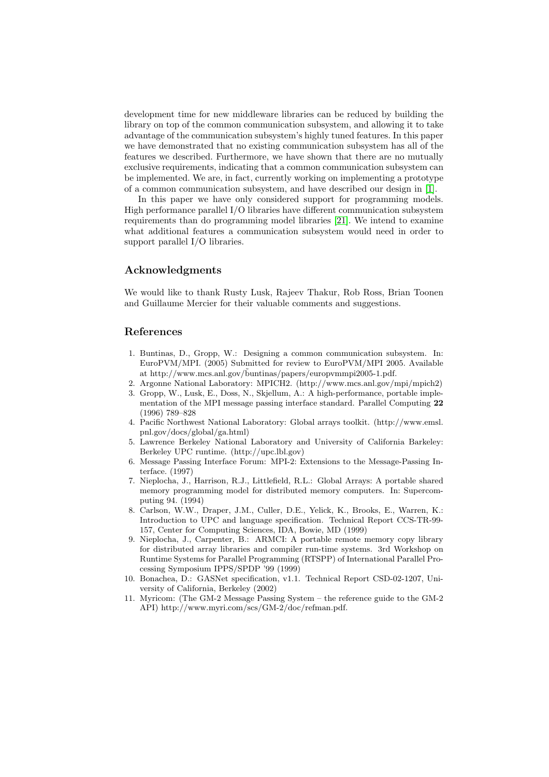<span id="page-8-0"></span>development time for new middleware libraries can be reduced by building the library on top of the common communication subsystem, and allowing it to take advantage of the communication subsystem's highly tuned features. In this paper we have demonstrated that no existing communication subsystem has all of the features we described. Furthermore, we have shown that there are no mutually exclusive requirements, indicating that a common communication subsystem can be implemented. We are, in fact, currently working on implementing a prototype of a common communication subsystem, and have described our design in [1].

In this paper we have only considered support for programming models. High performance parallel I/O libraries have different communication subsystem requirements than do programming model libraries [\[21\]](#page-9-0). We intend to examine what additional features a communication subsystem would need in order to support parallel I/O libraries.

## Acknowledgments

We would like to thank Rusty Lusk, Rajeev Thakur, Rob Ross, Brian Toonen and Guillaume Mercier for their valuable comments and suggestions.

## References

- 1. Buntinas, D., Gropp, W.: Designing a common communication subsystem. In: EuroPVM/MPI. (2005) Submitted for review to EuroPVM/MPI 2005. Available at http://www.mcs.anl.gov/ $\tilde{b}$ untinas/papers/europvmmpi2005-1.pdf.
- 2. Argonne National Laboratory: MPICH2. (http://www.mcs.anl.gov/mpi/mpich2)
- 3. Gropp, W., Lusk, E., Doss, N., Skjellum, A.: A high-performance, portable implementation of the MPI message passing interface standard. Parallel Computing 22 (1996) 789–828
- 4. Pacific Northwest National Laboratory: Global arrays toolkit. (http://www.emsl. pnl.gov/docs/global/ga.html)
- 5. Lawrence Berkeley National Laboratory and University of California Barkeley: Berkeley UPC runtime. (http://upc.lbl.gov)
- 6. Message Passing Interface Forum: MPI-2: Extensions to the Message-Passing Interface. (1997)
- 7. Nieplocha, J., Harrison, R.J., Littlefield, R.L.: Global Arrays: A portable shared memory programming model for distributed memory computers. In: Supercomputing 94. (1994)
- 8. Carlson, W.W., Draper, J.M., Culler, D.E., Yelick, K., Brooks, E., Warren, K.: Introduction to UPC and language specification. Technical Report CCS-TR-99- 157, Center for Computing Sciences, IDA, Bowie, MD (1999)
- 9. Nieplocha, J., Carpenter, B.: ARMCI: A portable remote memory copy library for distributed array libraries and compiler run-time systems. 3rd Workshop on Runtime Systems for Parallel Programming (RTSPP) of International Parallel Processing Symposium IPPS/SPDP '99 (1999)
- 10. Bonachea, D.: GASNet specification, v1.1. Technical Report CSD-02-1207, University of California, Berkeley (2002)
- 11. Myricom: (The GM-2 Message Passing System the reference guide to the GM-2 API) http://www.myri.com/scs/GM-2/doc/refman.pdf.